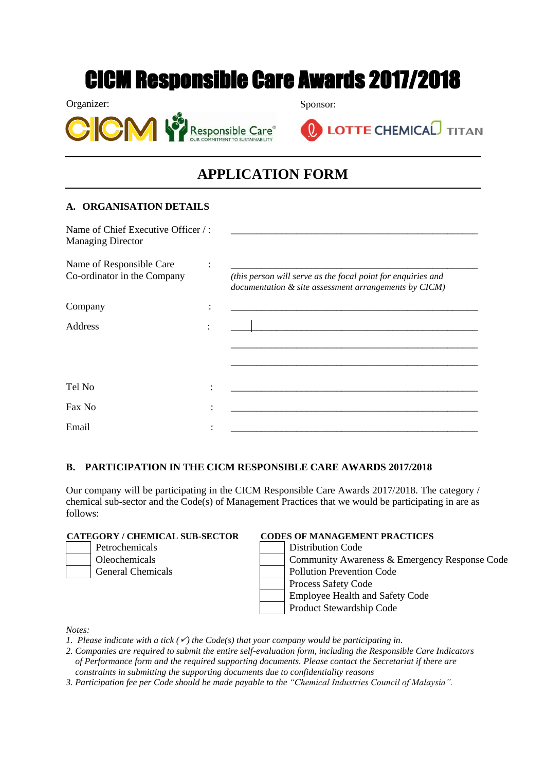# CICM Responsible Care Awards 2017/2018

Organizer: Sponsor:





**LOTTE CHEMICAL** TITAN

## **APPLICATION FORM**

### **A. ORGANISATION DETAILS**

Name of Chief Executive Officer /: Managing Director

Name of Responsible Care :

Co-ordinator in the Company *(this person will serve as the focal point for enquiries and* 

\_\_\_\_\_\_\_\_\_\_\_\_\_\_\_\_\_\_\_\_\_\_\_\_\_\_\_\_\_\_\_\_\_\_\_\_\_\_\_\_\_\_\_\_\_\_\_\_\_ \_\_\_\_\_\_\_\_\_\_\_\_\_\_\_\_\_\_\_\_\_\_\_\_\_\_\_\_\_\_\_\_\_\_\_\_\_\_\_\_\_\_\_\_\_\_\_\_\_

Address : \_\_\_\_\_\_\_\_\_\_\_\_\_\_\_\_\_\_\_\_\_\_\_\_\_\_\_\_\_\_\_\_\_\_\_\_\_\_\_\_\_\_\_\_\_\_\_\_\_

| . The contract of the contract of the contract of the contract of $\mathbf{I}$ and $\mathbf{I}$ are contracted to the contract of the contract of the contract of the contract of the contract of the contract of the contract of the<br>documentation & site assessment arrangements by CICM) |  |
|------------------------------------------------------------------------------------------------------------------------------------------------------------------------------------------------------------------------------------------------------------------------------------------------|--|
|                                                                                                                                                                                                                                                                                                |  |

### **B. PARTICIPATION IN THE CICM RESPONSIBLE CARE AWARDS 2017/2018**

Our company will be participating in the CICM Responsible Care Awards 2017/2018. The category / chemical sub-sector and the Code(s) of Management Practices that we would be participating in are as follows:

Tel No : \_\_\_\_\_\_\_\_\_\_\_\_\_\_\_\_\_\_\_\_\_\_\_\_\_\_\_\_\_\_\_\_\_\_\_\_\_\_\_\_\_\_\_\_\_\_\_\_\_

Fax No : \_\_\_\_\_\_\_\_\_\_\_\_\_\_\_\_\_\_\_\_\_\_\_\_\_\_\_\_\_\_\_\_\_\_\_\_\_\_\_\_\_\_\_\_\_\_\_\_\_

Email **Email Email Email Email Email Email Email Email Email Email Email Email Email Email Email Email Email Email Email Email Email Email Email Email Email Email Email**

### **CATEGORY / CHEMICAL SUB-SECTOR CODES OF MANAGEMENT PRACTICES**

| GORY / CHEMICAL SUB-SECTOR | CODES OF MANAGEMENT PRACTICES |
|----------------------------|-------------------------------|
| Petrochemicals             | <b>Distribution Code</b>      |

Oleochemicals Community Awareness & Emergency Response Code General Chemicals Pollution Prevention Code Process Safety Code Employee Health and Safety Code Product Stewardship Code

*Notes:*

- *1. Please indicate with a tick*  $(\checkmark)$  *the Code(s) that your company would be participating in.*
- *2. Companies are required to submit the entire self-evaluation form, including the Responsible Care Indicators of Performance form and the required supporting documents. Please contact the Secretariat if there are constraints in submitting the supporting documents due to confidentiality reasons*
- *3. Participation fee per Code should be made payable to the "Chemical Industries Council of Malaysia".*